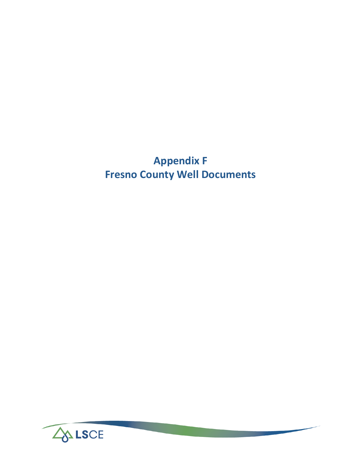# **Appendix F Fresno County Well Documents**

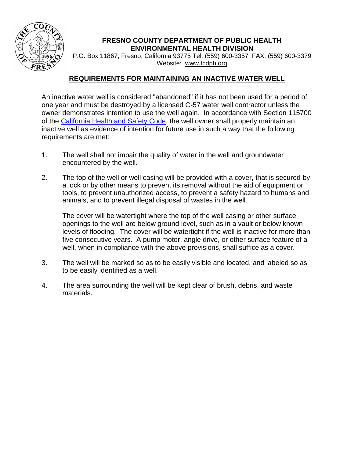

## **FRESNO COUNTY DEPARTMENT OF PUBLIC HEALTH ENVIRONMENTAL HEALTH DIVISION**

P.O. Box 11867, Fresno, California 93775 Tel: (559) 600-3357 FAX: (559) 600-3379 Website: [www.fcdph.org](http://www.fcdph.org/)

# **REQUIREMENTS FOR MAINTAINING AN INACTIVE WATER WELL**

An inactive water well is considered "abandoned" if it has not been used for a period of one year and must be destroyed by a licensed C-57 water well contractor unless the owner demonstrates intention to use the well again. In accordance with Section 115700 of the [California Health and Safety Code,](http://www.leginfo.ca.gov/cgi-bin/calawquery?codesection=hsc&codebody=&hits=20) the well owner shall properly maintain an inactive well as evidence of intention for future use in such a way that the following requirements are met:

- 1. The well shall not impair the quality of water in the well and groundwater encountered by the well.
- 2. The top of the well or well casing will be provided with a cover, that is secured by a lock or by other means to prevent its removal without the aid of equipment or tools, to prevent unauthorized access, to prevent a safety hazard to humans and animals, and to prevent illegal disposal of wastes in the well.

The cover will be watertight where the top of the well casing or other surface openings to the well are below ground level, such as in a vault or below known levels of flooding. The cover will be watertight if the well is inactive for more than five consecutive years. A pump motor, angle drive, or other surface feature of a well, when in compliance with the above provisions, shall suffice as a cover.

- 3. The well will be marked so as to be easily visible and located, and labeled so as to be easily identified as a well.
- 4. The area surrounding the well will be kept clear of brush, debris, and waste materials.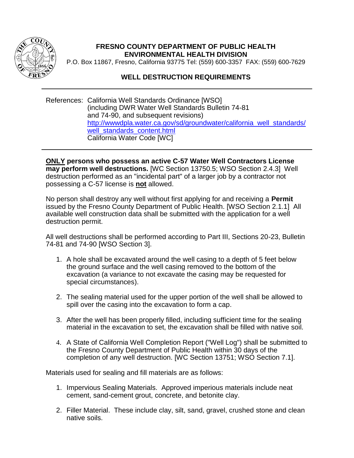

## **FRESNO COUNTY DEPARTMENT OF PUBLIC HEALTH ENVIRONMENTAL HEALTH DIVISION**

P.O. Box 11867, Fresno, California 93775 Tel: (559) 600-3357 FAX: (559) 600-7629

## **WELL DESTRUCTION REQUIREMENTS**

References: California Well Standards Ordinance [WSO] (including DWR Water Well Standards Bulletin 74-81 and 74-90, and subsequent revisions) [http://wwwdpla.water.ca.gov/sd/groundwater/california\\_well\\_standards/](http://wwwdpla.water.ca.gov/sd/groundwater/california_well_standards/well_standards_content.html) well standards content.html California Water Code [WC]

**ONLY persons who possess an active C-57 Water Well Contractors License may perform well destructions.** [WC Section 13750.5; WSO Section 2.4.3] Well destruction performed as an "incidental part" of a larger job by a contractor not possessing a C-57 license is **not** allowed.

No person shall destroy any well without first applying for and receiving a **Permit** issued by the Fresno County Department of Public Health. [WSO Section 2.1.1] All available well construction data shall be submitted with the application for a well destruction permit.

All well destructions shall be performed according to Part III, Sections 20-23, Bulletin 74-81 and 74-90 [WSO Section 3].

- 1. A hole shall be excavated around the well casing to a depth of 5 feet below the ground surface and the well casing removed to the bottom of the excavation (a variance to not excavate the casing may be requested for special circumstances).
- 2. The sealing material used for the upper portion of the well shall be allowed to spill over the casing into the excavation to form a cap.
- 3. After the well has been properly filled, including sufficient time for the sealing material in the excavation to set, the excavation shall be filled with native soil.
- 4. A State of California Well Completion Report ("Well Log") shall be submitted to the Fresno County Department of Public Health within 30 days of the completion of any well destruction. [WC Section 13751; WSO Section 7.1].

Materials used for sealing and fill materials are as follows:

- 1. Impervious Sealing Materials. Approved imperious materials include neat cement, sand-cement grout, concrete, and betonite clay.
- 2. Filler Material. These include clay, silt, sand, gravel, crushed stone and clean native soils.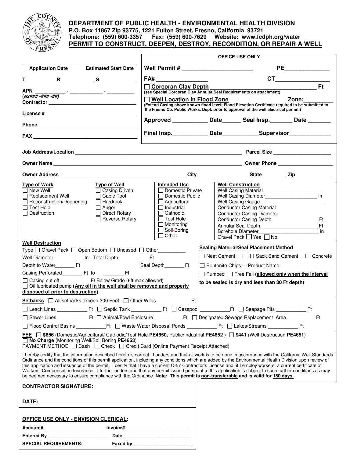

#### **DEPARTMENT OF PUBLIC HEALTH - ENVIRONMENTAL HEALTH DIVISION P.O. Box 11867 Zip 93775, 1221 Fulton Street, Fresno, California 93721 Telephone: (559) 600-3357 Fax: (559) 600-7629 Website: www.fcdph.org/water PERMIT TO CONSTRUCT, DEEPEN, DESTROY, RECONDITION, OR REPAIR A WELL**

|                                                                                                                                                  | <b>OFFICE USE ONLY</b>                   |                                                                                                                                                                                                                                                                                                                     |  |  |  |  |  |  |  |  |
|--------------------------------------------------------------------------------------------------------------------------------------------------|------------------------------------------|---------------------------------------------------------------------------------------------------------------------------------------------------------------------------------------------------------------------------------------------------------------------------------------------------------------------|--|--|--|--|--|--|--|--|
| <b>Application Date</b><br><b>Estimated Start Date</b>                                                                                           |                                          | <b>PE</b> and the state of the state of the state of the state of the state of the state of the state of the state of the state of the state of the state of the state of the state of the state of the state of the state of the s                                                                                 |  |  |  |  |  |  |  |  |
| $T$ R R S R S                                                                                                                                    | FA#                                      | $CT \qquad \qquad \qquad \qquad$                                                                                                                                                                                                                                                                                    |  |  |  |  |  |  |  |  |
|                                                                                                                                                  | $\Box$ Corcoran Clay Depth               | <b>Ft</b><br><u>and a state</u>                                                                                                                                                                                                                                                                                     |  |  |  |  |  |  |  |  |
|                                                                                                                                                  |                                          | (see Special Corcoran Clay Annular Seal Requirements on attachment)                                                                                                                                                                                                                                                 |  |  |  |  |  |  |  |  |
|                                                                                                                                                  | $\Box$ Well Location in Flood Zone       | Zone:                                                                                                                                                                                                                                                                                                               |  |  |  |  |  |  |  |  |
|                                                                                                                                                  |                                          | (Extend Casing above known flood level; Flood Elevation Certificate required to be submitted to<br>the Fresno Co. Public Works. Dept. prior to approval of the well electrical permit.)                                                                                                                             |  |  |  |  |  |  |  |  |
|                                                                                                                                                  |                                          | Approved ______________ Date________ Seal Insp. ________ Date ________                                                                                                                                                                                                                                              |  |  |  |  |  |  |  |  |
|                                                                                                                                                  |                                          | Final Insp. _______________ Date _______________Supervisor______________________                                                                                                                                                                                                                                    |  |  |  |  |  |  |  |  |
|                                                                                                                                                  |                                          |                                                                                                                                                                                                                                                                                                                     |  |  |  |  |  |  |  |  |
|                                                                                                                                                  |                                          |                                                                                                                                                                                                                                                                                                                     |  |  |  |  |  |  |  |  |
|                                                                                                                                                  |                                          |                                                                                                                                                                                                                                                                                                                     |  |  |  |  |  |  |  |  |
|                                                                                                                                                  |                                          |                                                                                                                                                                                                                                                                                                                     |  |  |  |  |  |  |  |  |
| <b>Type of Well</b><br><b>Type of Work</b>                                                                                                       | <b>Intended Use</b>                      | <b>Well Construction</b>                                                                                                                                                                                                                                                                                            |  |  |  |  |  |  |  |  |
| $\Box$ New Well<br>$\Box$ Casing Driven                                                                                                          | □ Domestic Private                       |                                                                                                                                                                                                                                                                                                                     |  |  |  |  |  |  |  |  |
| □ Cable Tool<br>$\Box$ Replacement Well<br>$\Box$ Hardrock<br>Reconstruction/Deepening                                                           | □ Domestic Public<br>$\Box$ Agricultural | Well Casing Diameter_________________________ in                                                                                                                                                                                                                                                                    |  |  |  |  |  |  |  |  |
| <b>Test Hole</b><br>$\Box$ Auger                                                                                                                 | $\Box$ Industrial                        | Conductor Casing Material                                                                                                                                                                                                                                                                                           |  |  |  |  |  |  |  |  |
| $\Box$ Destruction<br>$\Box$ Direct Rotary                                                                                                       | $\Box$ Cathodic                          | Conductor Casing Diameter_______________                                                                                                                                                                                                                                                                            |  |  |  |  |  |  |  |  |
| Reverse Rotary                                                                                                                                   | $\sqcap$ Test Hole                       | <b>Ft</b>                                                                                                                                                                                                                                                                                                           |  |  |  |  |  |  |  |  |
|                                                                                                                                                  | $\Box$ Monitoring<br>$\Box$ Soil-Boring  | Annular Seal Depth <b>Exercise Seal Depth</b><br>Ft<br><b>Borehole Diameter</b>                                                                                                                                                                                                                                     |  |  |  |  |  |  |  |  |
|                                                                                                                                                  | $\Box$ Other                             | Gravel Pack ■ Yes ■ No                                                                                                                                                                                                                                                                                              |  |  |  |  |  |  |  |  |
| <b>Well Destruction</b>                                                                                                                          |                                          |                                                                                                                                                                                                                                                                                                                     |  |  |  |  |  |  |  |  |
| Type □ Gravel Pack □ Open Bottom □ Uncased □ Other________                                                                                       |                                          | <b>Sealing Material/Seal Placement Method</b>                                                                                                                                                                                                                                                                       |  |  |  |  |  |  |  |  |
| Well Diameter_____________ In Total Depth_______________ Ft                                                                                      |                                          | □ Neat Cement □ 11 Sack Sand Cement □ Concrete                                                                                                                                                                                                                                                                      |  |  |  |  |  |  |  |  |
| Depth to Water___________ Ft                                                                                                                     | Seal Depth__________ Ft                  | □ Bentonite Chips – Product Name                                                                                                                                                                                                                                                                                    |  |  |  |  |  |  |  |  |
|                                                                                                                                                  |                                          | $\Box$ Pumped $\Box$ Free Fall (allowed only when the interval                                                                                                                                                                                                                                                      |  |  |  |  |  |  |  |  |
| □ Casing cut off Ft Below Grade (6ft max allowed)                                                                                                |                                          | to be sealed is dry and less than 30 Ft depth)                                                                                                                                                                                                                                                                      |  |  |  |  |  |  |  |  |
| □ Oil lubricated pump (Any oil in the well shall be removed and properly                                                                         |                                          |                                                                                                                                                                                                                                                                                                                     |  |  |  |  |  |  |  |  |
| disposed of prior to destruction)                                                                                                                |                                          |                                                                                                                                                                                                                                                                                                                     |  |  |  |  |  |  |  |  |
| Setbacks   All setbacks exceed 300 Feet   Other Wells                                                                                            | F <sub>t</sub>                           |                                                                                                                                                                                                                                                                                                                     |  |  |  |  |  |  |  |  |
|                                                                                                                                                  |                                          |                                                                                                                                                                                                                                                                                                                     |  |  |  |  |  |  |  |  |
|                                                                                                                                                  |                                          |                                                                                                                                                                                                                                                                                                                     |  |  |  |  |  |  |  |  |
|                                                                                                                                                  |                                          |                                                                                                                                                                                                                                                                                                                     |  |  |  |  |  |  |  |  |
| FEE <sup>1</sup> \$656 (Domestic/Agricultural/ Cathodic/Test Hole PE4650, Public/Industrial PE4652) <sup>1</sup> \$441 (Well Destruction PE4651) |                                          |                                                                                                                                                                                                                                                                                                                     |  |  |  |  |  |  |  |  |
| □ No Charge (Monitoring Well/Soil Boring PE4653)<br>PAYMENT METHOD □ Cash □ Check □ Credit Card (Online Payment Receipt Attached)                |                                          |                                                                                                                                                                                                                                                                                                                     |  |  |  |  |  |  |  |  |
|                                                                                                                                                  |                                          | I hereby certify that the information described herein is correct. I understand that all work is to be done in accordance with the California Well Standards                                                                                                                                                        |  |  |  |  |  |  |  |  |
|                                                                                                                                                  |                                          | Ordinance and the conditions of this permit application, including any conditions which are added by the Environmental Health Division upon review of                                                                                                                                                               |  |  |  |  |  |  |  |  |
|                                                                                                                                                  |                                          | this application and issuance of the permit. I certify that I have a current C-57 Contractor's License and, if I employ workers, a current certificate of<br>Workers' Compensation Insurance. I further understand that any permit issued pursuant to this application is subject to such further conditions as may |  |  |  |  |  |  |  |  |
| be deemed necessary to ensure compliance with the Ordinance. Note: This permit is non-transferable and is valid for 180 days.                    |                                          |                                                                                                                                                                                                                                                                                                                     |  |  |  |  |  |  |  |  |
| <b>CONTRACTOR SIGNATURE:</b>                                                                                                                     |                                          |                                                                                                                                                                                                                                                                                                                     |  |  |  |  |  |  |  |  |
|                                                                                                                                                  |                                          |                                                                                                                                                                                                                                                                                                                     |  |  |  |  |  |  |  |  |
| <b>DATE:</b>                                                                                                                                     |                                          |                                                                                                                                                                                                                                                                                                                     |  |  |  |  |  |  |  |  |
|                                                                                                                                                  |                                          |                                                                                                                                                                                                                                                                                                                     |  |  |  |  |  |  |  |  |
|                                                                                                                                                  |                                          |                                                                                                                                                                                                                                                                                                                     |  |  |  |  |  |  |  |  |
| <b>OFFICE USE ONLY - ENVISION CLERICAL:</b>                                                                                                      |                                          |                                                                                                                                                                                                                                                                                                                     |  |  |  |  |  |  |  |  |
| Account# ___________________________ Invoice# __________________________________                                                                 |                                          |                                                                                                                                                                                                                                                                                                                     |  |  |  |  |  |  |  |  |
| Entered By __________________________                                                                                                            |                                          |                                                                                                                                                                                                                                                                                                                     |  |  |  |  |  |  |  |  |
|                                                                                                                                                  |                                          |                                                                                                                                                                                                                                                                                                                     |  |  |  |  |  |  |  |  |